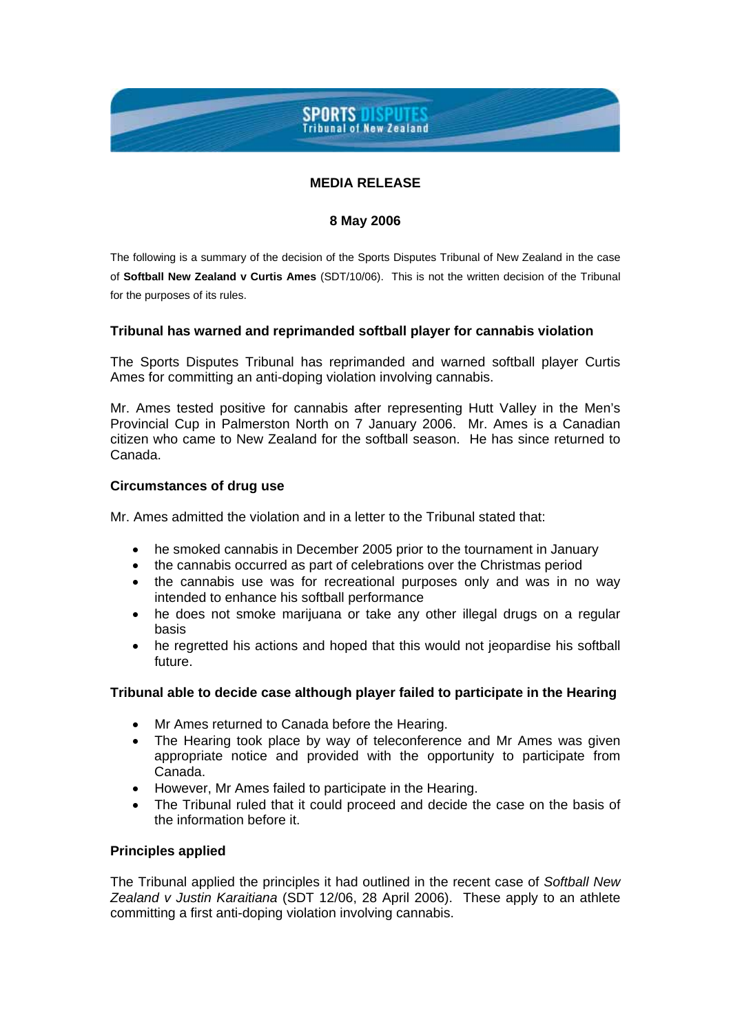# **SPORTS DISPUTES**<br>Tribunal of New Zealand

# **MEDIA RELEASE**

## **8 May 2006**

The following is a summary of the decision of the Sports Disputes Tribunal of New Zealand in the case of **Softball New Zealand v Curtis Ames** (SDT/10/06). This is not the written decision of the Tribunal for the purposes of its rules.

# **Tribunal has warned and reprimanded softball player for cannabis violation**

The Sports Disputes Tribunal has reprimanded and warned softball player Curtis Ames for committing an anti-doping violation involving cannabis.

Mr. Ames tested positive for cannabis after representing Hutt Valley in the Men's Provincial Cup in Palmerston North on 7 January 2006. Mr. Ames is a Canadian citizen who came to New Zealand for the softball season. He has since returned to Canada.

## **Circumstances of drug use**

Mr. Ames admitted the violation and in a letter to the Tribunal stated that:

- he smoked cannabis in December 2005 prior to the tournament in January
- the cannabis occurred as part of celebrations over the Christmas period
- the cannabis use was for recreational purposes only and was in no way intended to enhance his softball performance
- he does not smoke marijuana or take any other illegal drugs on a regular basis
- he regretted his actions and hoped that this would not jeopardise his softball future.

## **Tribunal able to decide case although player failed to participate in the Hearing**

- Mr Ames returned to Canada before the Hearing.
- The Hearing took place by way of teleconference and Mr Ames was given appropriate notice and provided with the opportunity to participate from Canada.
- However, Mr Ames failed to participate in the Hearing.
- The Tribunal ruled that it could proceed and decide the case on the basis of the information before it.

# **Principles applied**

The Tribunal applied the principles it had outlined in the recent case of *Softball New Zealand v Justin Karaitiana* (SDT 12/06, 28 April 2006). These apply to an athlete committing a first anti-doping violation involving cannabis.